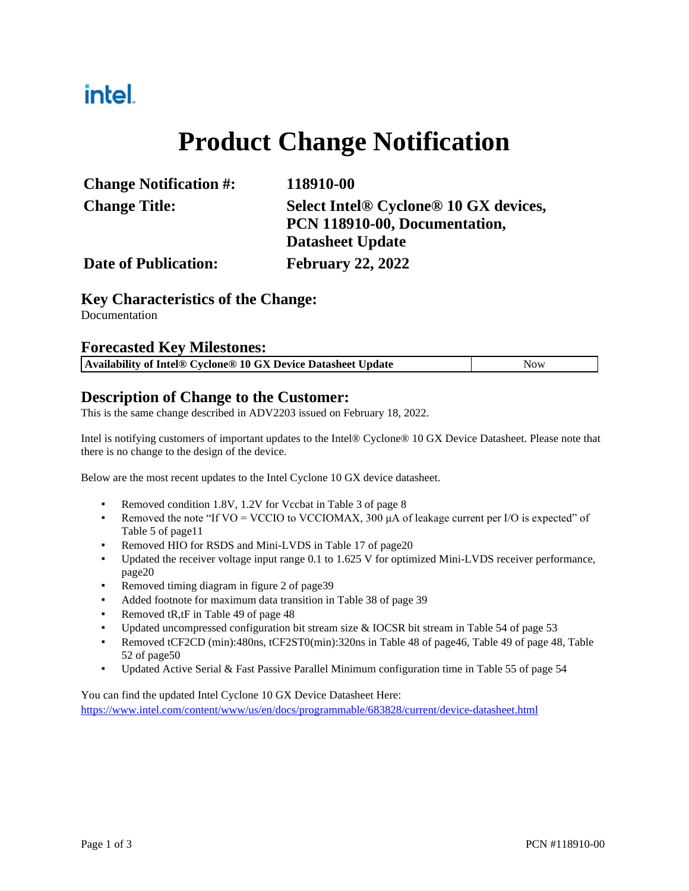# intel.

# **Product Change Notification**

| <b>Change Notification #:</b> | 118910-00                             |
|-------------------------------|---------------------------------------|
| <b>Change Title:</b>          | Select Intel® Cyclone® 10 GX devices, |
|                               | PCN 118910-00, Documentation,         |
|                               | <b>Datasheet Update</b>               |
| <b>Date of Publication:</b>   | <b>February 22, 2022</b>              |

#### **Key Characteristics of the Change:**

Documentation

#### **Forecasted Key Milestones:**

| Availability of Intel® Cyclone® 10 GX Device Datasheet Update | <b>Now</b> |
|---------------------------------------------------------------|------------|
|                                                               |            |

#### **Description of Change to the Customer:**

This is the same change described in ADV2203 issued on February 18, 2022.

Intel is notifying customers of important updates to the Intel® Cyclone® 10 GX Device Datasheet. Please note that there is no change to the design of the device.

Below are the most recent updates to the Intel Cyclone 10 GX device datasheet.

- Removed condition 1.8V, 1.2V for Vccbat in Table 3 of page 8
- Removed the note "If VO = VCCIO to VCCIOMAX, 300  $\mu$ A of leakage current per I/O is expected" of Table 5 of page11
- Removed HIO for RSDS and Mini-LVDS in Table 17 of page20
- Updated the receiver voltage input range 0.1 to 1.625 V for optimized Mini-LVDS receiver performance, page20
- Removed timing diagram in figure 2 of page39
- Added footnote for maximum data transition in Table 38 of page 39
- Removed tR,tF in Table 49 of page 48
- Updated uncompressed configuration bit stream size & IOCSR bit stream in Table 54 of page 53
- Removed tCF2CD (min):480ns, tCF2ST0(min):320ns in Table 48 of page46, Table 49 of page 48, Table 52 of page50
- Updated Active Serial & Fast Passive Parallel Minimum configuration time in Table 55 of page 54

You can find the updated Intel Cyclone 10 GX Device Datasheet Here:

<https://www.intel.com/content/www/us/en/docs/programmable/683828/current/device-datasheet.html>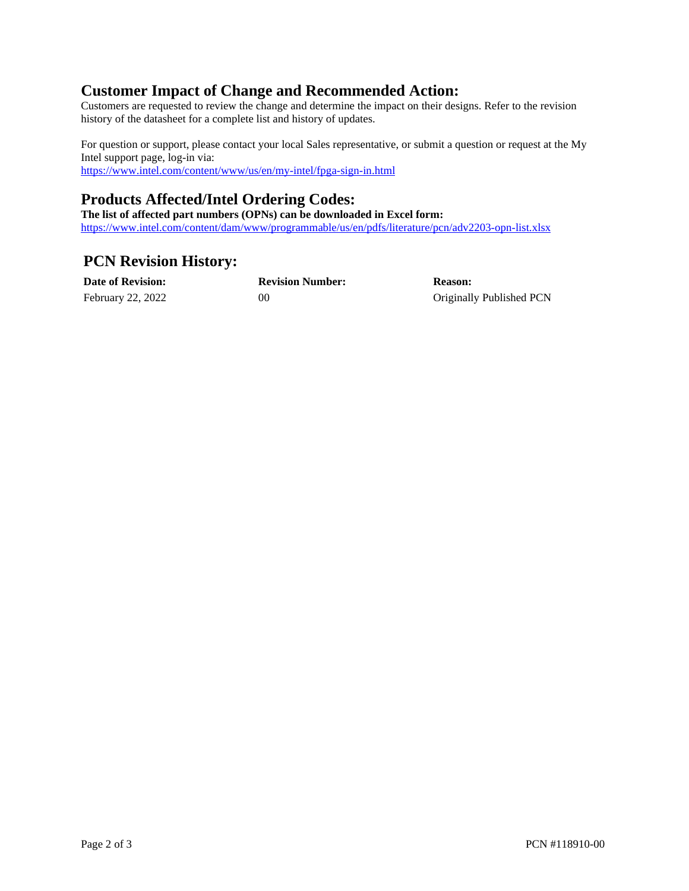### **Customer Impact of Change and Recommended Action:**

Customers are requested to review the change and determine the impact on their designs. Refer to the revision history of the datasheet for a complete list and history of updates.

For question or support, please contact your local Sales representative, or submit a question or request at the My Intel support page, log-in via: <https://www.intel.com/content/www/us/en/my-intel/fpga-sign-in.html>

### **Products Affected/Intel Ordering Codes:**

**The list of affected part numbers (OPNs) can be downloaded in Excel form:**  <https://www.intel.com/content/dam/www/programmable/us/en/pdfs/literature/pcn/adv2203-opn-list.xlsx>

## **PCN Revision History:**

| <b>Date of Revision:</b> | <b>Revision Number:</b> | <b>Reason:</b>           |
|--------------------------|-------------------------|--------------------------|
| February 22, 2022        | 00                      | Originally Published PCN |